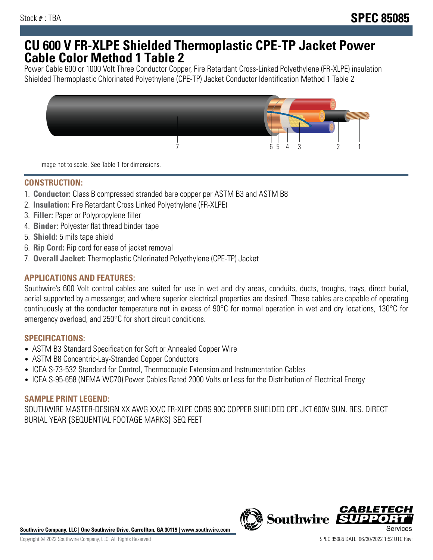## **CU 600 V FR-XLPE Shielded Thermoplastic CPE-TP Jacket Power Cable Color Method 1 Table 2**

Power Cable 600 or 1000 Volt Three Conductor Copper, Fire Retardant Cross-Linked Polyethylene (FR-XLPE) insulation Shielded Thermoplastic Chlorinated Polyethylene (CPE-TP) Jacket Conductor Identification Method 1 Table 2



Image not to scale. See Table 1 for dimensions.

## **CONSTRUCTION:**

- 1. **Conductor:** Class B compressed stranded bare copper per ASTM B3 and ASTM B8
- 2. **Insulation:** Fire Retardant Cross Linked Polyethylene (FR-XLPE)
- 3. **Filler:** Paper or Polypropylene filler
- 4. **Binder:** Polyester flat thread binder tape
- 5. **Shield:** 5 mils tape shield
- 6. **Rip Cord:** Rip cord for ease of jacket removal
- 7. **Overall Jacket:** Thermoplastic Chlorinated Polyethylene (CPE-TP) Jacket

### **APPLICATIONS AND FEATURES:**

Southwire's 600 Volt control cables are suited for use in wet and dry areas, conduits, ducts, troughs, trays, direct burial, aerial supported by a messenger, and where superior electrical properties are desired. These cables are capable of operating continuously at the conductor temperature not in excess of 90°C for normal operation in wet and dry locations, 130°C for emergency overload, and 250°C for short circuit conditions.

#### **SPECIFICATIONS:**

- ASTM B3 Standard Specification for Soft or Annealed Copper Wire
- ASTM B8 Concentric-Lay-Stranded Copper Conductors
- ICEA S-73-532 Standard for Control, Thermocouple Extension and Instrumentation Cables
- ICEA S-95-658 (NEMA WC70) Power Cables Rated 2000 Volts or Less for the Distribution of Electrical Energy

#### **SAMPLE PRINT LEGEND:**

SOUTHWIRE MASTER-DESIGN XX AWG XX/C FR-XLPE CDRS 90C COPPER SHIELDED CPE JKT 600V SUN. RES. DIRECT BURIAL YEAR {SEQUENTIAL FOOTAGE MARKS} SEQ FEET